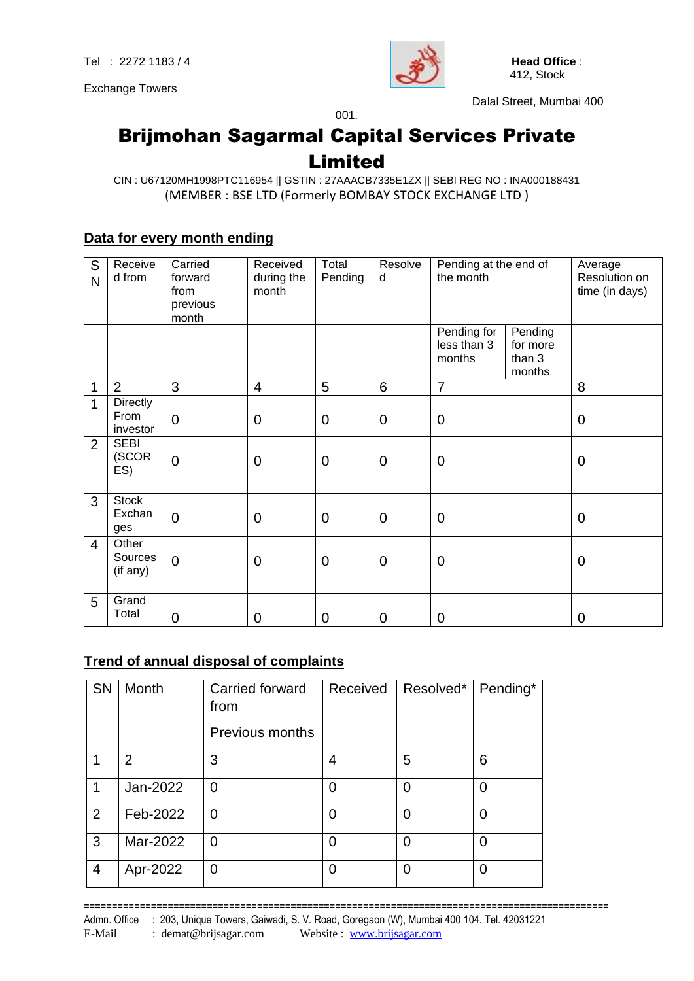Exchange Towers



Dalal Street, Mumbai 400

## Brijmohan Sagarmal Capital Services Private Limited

001.

#### CIN : U67120MH1998PTC116954 || GSTIN : 27AAACB7335E1ZX || SEBI REG NO : INA000188431 (MEMBER : BSE LTD (Formerly BOMBAY STOCK EXCHANGE LTD )

#### **Data for every month ending**

| S<br>N         | Receive<br>d from             | Carried<br>forward<br>from<br>previous<br>month | Received<br>during the<br>month | Total<br>Pending | Resolve<br>d   | Pending at the end of<br>the month   |                                         | Average<br>Resolution on<br>time (in days) |
|----------------|-------------------------------|-------------------------------------------------|---------------------------------|------------------|----------------|--------------------------------------|-----------------------------------------|--------------------------------------------|
|                |                               |                                                 |                                 |                  |                | Pending for<br>less than 3<br>months | Pending<br>for more<br>than 3<br>months |                                            |
| 1              | 2                             | 3                                               | $\overline{4}$                  | 5                | 6              | $\overline{7}$                       |                                         | 8                                          |
| 1              | Directly<br>From<br>investor  | $\overline{0}$                                  | $\overline{0}$                  | $\mathbf 0$      | $\overline{0}$ | $\mathbf 0$                          |                                         | $\mathbf 0$                                |
| $\overline{2}$ | <b>SEBI</b><br>(SCOR<br>ES)   | $\overline{0}$                                  | $\mathbf 0$                     | $\mathbf 0$      | $\overline{0}$ | $\mathbf 0$                          |                                         | $\mathbf 0$                                |
| 3              | <b>Stock</b><br>Exchan<br>ges | $\overline{0}$                                  | $\overline{0}$                  | $\mathbf 0$      | $\overline{0}$ | $\mathbf 0$                          |                                         | $\mathbf 0$                                |
| 4              | Other<br>Sources<br>(if any)  | $\overline{0}$                                  | $\mathbf 0$                     | $\mathbf 0$      | $\mathbf 0$    | $\mathbf 0$                          |                                         | $\mathbf 0$                                |
| 5              | Grand<br>Total                | $\mathbf 0$                                     | $\mathbf 0$                     | $\mathbf 0$      | 0              | 0                                    |                                         | 0                                          |

#### **Trend of annual disposal of complaints**

| SN             | Month          | Carried forward<br>from | Received | Resolved* | Pending* |
|----------------|----------------|-------------------------|----------|-----------|----------|
|                |                | <b>Previous months</b>  |          |           |          |
|                | $\overline{2}$ | 3                       | 4        | 5         | 6        |
| 1              | Jan-2022       | 0                       | 0        | 0         | $\Omega$ |
| 2              | Feb-2022       | 0                       | 0        | 0         | $\Omega$ |
| 3              | Mar-2022       | 0                       | 0        | 0         | 0        |
| $\overline{4}$ | Apr-2022       | 0                       | 0        | 0         | 0        |